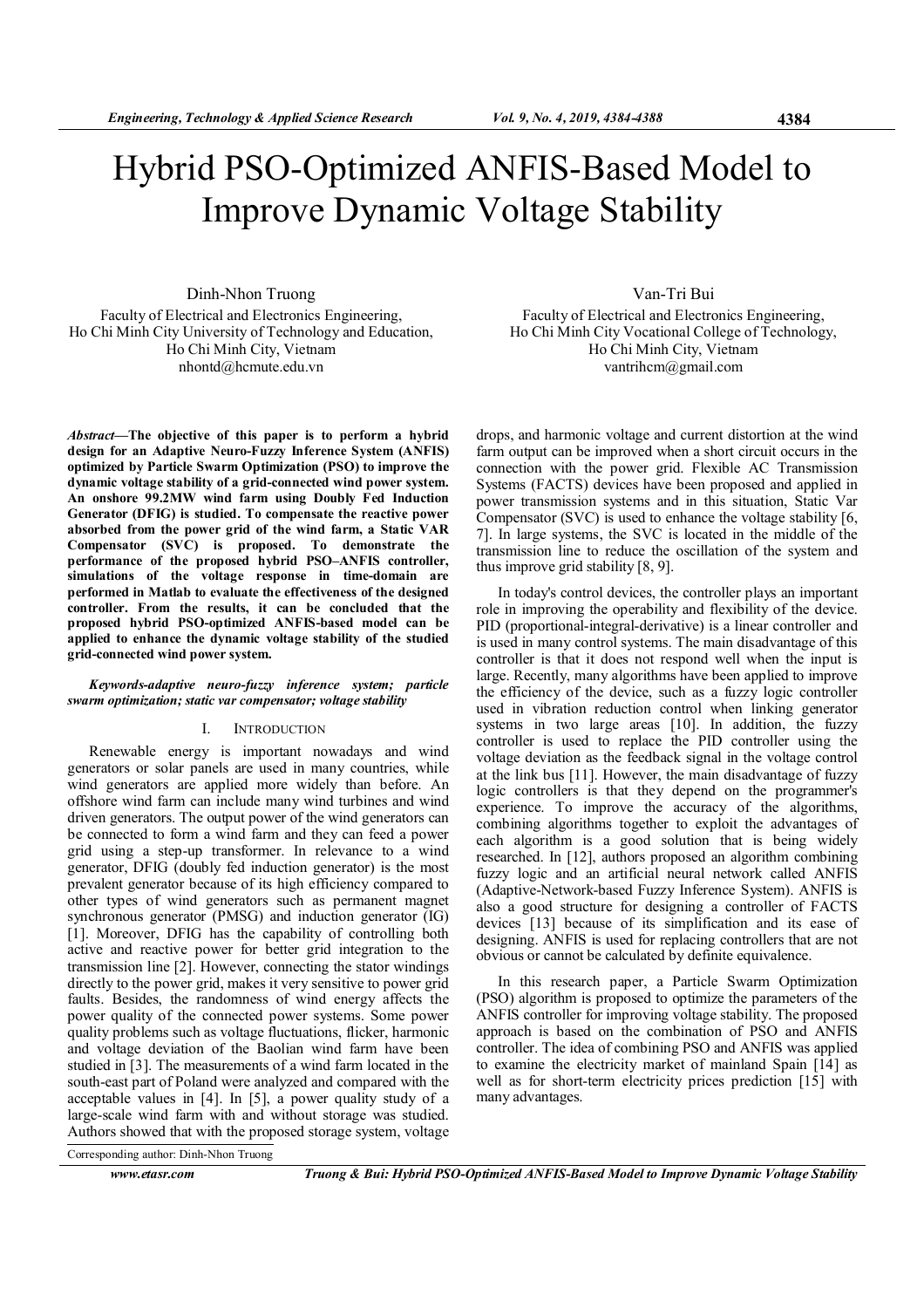# Hybrid PSO-Optimized ANFIS-Based Model to Improve Dynamic Voltage Stability

Dinh-Nhon Truong Faculty of Electrical and Electronics Engineering, Ho Chi Minh City University of Technology and Education, Ho Chi Minh City, Vietnam nhontd@hcmute.edu.vn

Abstract—The objective of this paper is to perform a hybrid design for an Adaptive Neuro-Fuzzy Inference System (ANFIS) optimized by Particle Swarm Optimization (PSO) to improve the dynamic voltage stability of a grid-connected wind power system. An onshore 99.2MW wind farm using Doubly Fed Induction Generator (DFIG) is studied. To compensate the reactive power absorbed from the power grid of the wind farm, a Static VAR Compensator (SVC) is proposed. To demonstrate the performance of the proposed hybrid PSO–ANFIS controller, simulations of the voltage response in time-domain are performed in Matlab to evaluate the effectiveness of the designed controller. From the results, it can be concluded that the proposed hybrid PSO-optimized ANFIS-based model can be applied to enhance the dynamic voltage stability of the studied grid-connected wind power system.

## Keywords-adaptive neuro-fuzzy inference system; particle swarm optimization; static var compensator; voltage stability

# I. INTRODUCTION

Renewable energy is important nowadays and wind generators or solar panels are used in many countries, while wind generators are applied more widely than before. An offshore wind farm can include many wind turbines and wind driven generators. The output power of the wind generators can be connected to form a wind farm and they can feed a power grid using a step-up transformer. In relevance to a wind generator, DFIG (doubly fed induction generator) is the most prevalent generator because of its high efficiency compared to other types of wind generators such as permanent magnet synchronous generator (PMSG) and induction generator (IG) [1]. Moreover, DFIG has the capability of controlling both active and reactive power for better grid integration to the transmission line [2]. However, connecting the stator windings directly to the power grid, makes it very sensitive to power grid faults. Besides, the randomness of wind energy affects the power quality of the connected power systems. Some power quality problems such as voltage fluctuations, flicker, harmonic and voltage deviation of the Baolian wind farm have been studied in [3]. The measurements of a wind farm located in the south-east part of Poland were analyzed and compared with the acceptable values in [4]. In [5], a power quality study of a large-scale wind farm with and without storage was studied. Authors showed that with the proposed storage system, voltage

Van-Tri Bui

Faculty of Electrical and Electronics Engineering, Ho Chi Minh City Vocational College of Technology, Ho Chi Minh City, Vietnam vantrihcm@gmail.com

drops, and harmonic voltage and current distortion at the wind farm output can be improved when a short circuit occurs in the connection with the power grid. Flexible AC Transmission Systems (FACTS) devices have been proposed and applied in power transmission systems and in this situation, Static Var Compensator (SVC) is used to enhance the voltage stability [6, 7]. In large systems, the SVC is located in the middle of the transmission line to reduce the oscillation of the system and thus improve grid stability [8, 9].

In today's control devices, the controller plays an important role in improving the operability and flexibility of the device. PID (proportional-integral-derivative) is a linear controller and is used in many control systems. The main disadvantage of this controller is that it does not respond well when the input is large. Recently, many algorithms have been applied to improve the efficiency of the device, such as a fuzzy logic controller used in vibration reduction control when linking generator systems in two large areas [10]. In addition, the fuzzy controller is used to replace the PID controller using the voltage deviation as the feedback signal in the voltage control at the link bus [11]. However, the main disadvantage of fuzzy logic controllers is that they depend on the programmer's experience. To improve the accuracy of the algorithms, combining algorithms together to exploit the advantages of each algorithm is a good solution that is being widely researched. In [12], authors proposed an algorithm combining fuzzy logic and an artificial neural network called ANFIS (Adaptive-Network-based Fuzzy Inference System). ANFIS is also a good structure for designing a controller of FACTS devices [13] because of its simplification and its ease of designing. ANFIS is used for replacing controllers that are not obvious or cannot be calculated by definite equivalence.

In this research paper, a Particle Swarm Optimization (PSO) algorithm is proposed to optimize the parameters of the ANFIS controller for improving voltage stability. The proposed approach is based on the combination of PSO and ANFIS controller. The idea of combining PSO and ANFIS was applied to examine the electricity market of mainland Spain [14] as well as for short-term electricity prices prediction [15] with many advantages.

Corresponding author: Dinh-Nhon Truong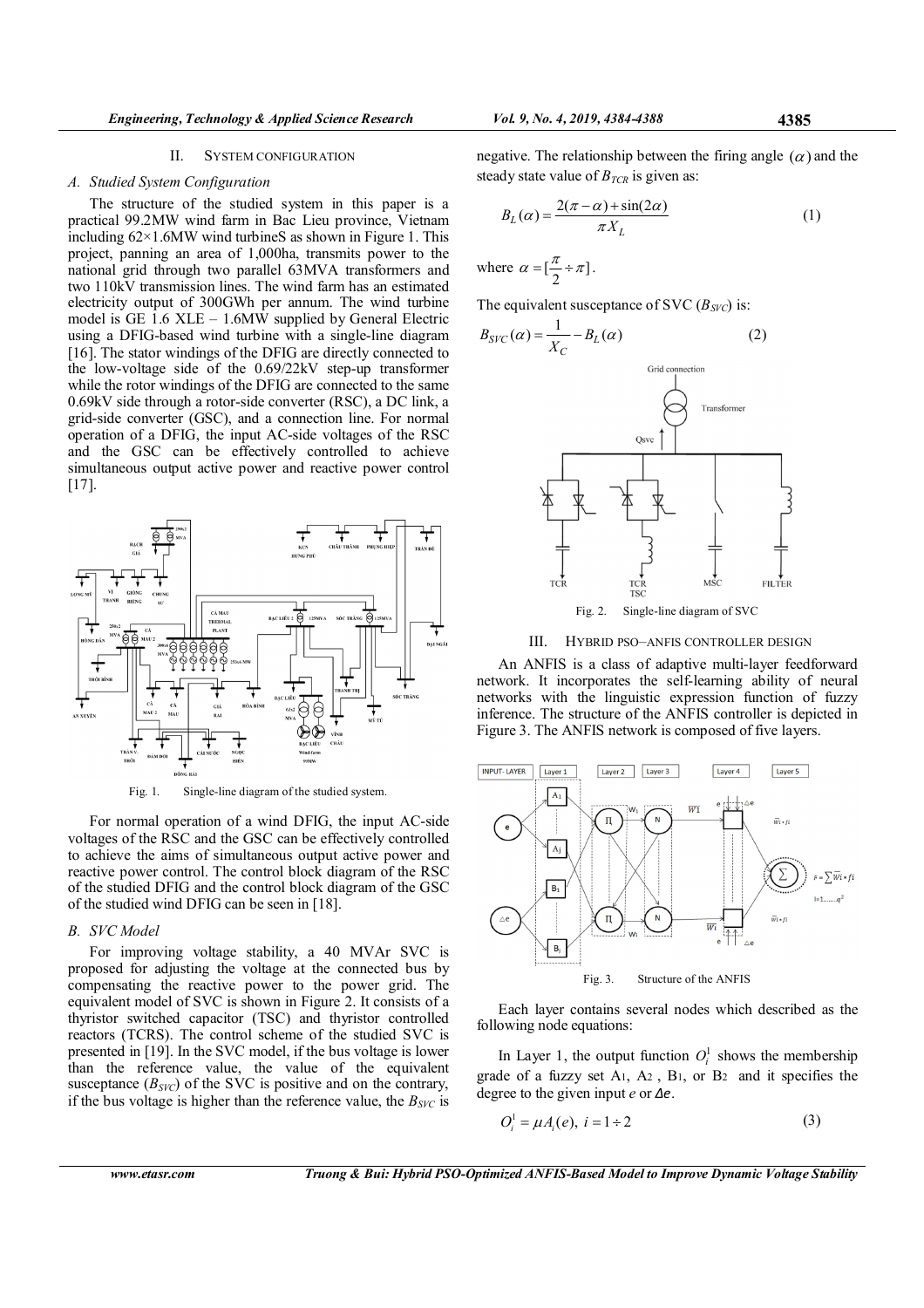# A. Studied System Configuration

The structure of the studied system in this paper is a practical 99.2MW wind farm in Bac Lieu province, Vietnam including 62×1.6MW wind turbineS as shown in Figure 1. This project, panning an area of 1,000ha, transmits power to the national grid through two parallel 63MVA transformers and two 110kV transmission lines. The wind farm has an estimated electricity output of 300GWh per annum. The wind turbine model is GE  $1.6$  XLE – 1.6MW supplied by General Electric using a DFIG-based wind turbine with a single-line diagram [16]. The stator windings of the DFIG are directly connected to the low-voltage side of the 0.69/22kV step-up transformer while the rotor windings of the DFIG are connected to the same 0.69kV side through a rotor-side converter (RSC), a DC link, a grid-side converter (GSC), and a connection line. For normal operation of a DFIG, the input AC-side voltages of the RSC and the GSC can be effectively controlled to achieve simultaneous output active power and reactive power control [17].



Fig. 1. Single-line diagram of the studied system.

For normal operation of a wind DFIG, the input AC-side voltages of the RSC and the GSC can be effectively controlled to achieve the aims of simultaneous output active power and reactive power control. The control block diagram of the RSC of the studied DFIG and the control block diagram of the GSC of the studied wind DFIG can be seen in [18].

# B. SVC Model

For improving voltage stability, a 40 MVAr SVC is proposed for adjusting the voltage at the connected bus by compensating the reactive power to the power grid. The equivalent model of SVC is shown in Figure 2. It consists of a thyristor switched capacitor (TSC) and thyristor controlled reactors (TCRS). The control scheme of the studied SVC is presented in [19]. In the SVC model, if the bus voltage is lower than the reference value, the value of the equivalent susceptance  $(B<sub>SVC</sub>)$  of the SVC is positive and on the contrary, if the bus voltage is higher than the reference value, the  $B<sub>SVC</sub>$  is

$$
B_L(\alpha) = \frac{2(\pi - \alpha) + \sin(2\alpha)}{\pi X_L} \tag{1}
$$

where  $\alpha = \left[ \frac{\pi}{2} \div \pi \right]$ .  $\alpha = \left[\frac{\pi}{2} \div \pi\right].$ 

The equivalent susceptance of SVC ( $B<sub>SVC</sub>$ ) is:



Fig. 2. Single-line diagram of SVC

# III. HYBRID PSO–ANFIS CONTROLLER DESIGN

An ANFIS is a class of adaptive multi-layer feedforward network. It incorporates the self-learning ability of neural networks with the linguistic expression function of fuzzy inference. The structure of the ANFIS controller is depicted in Figure 3. The ANFIS network is composed of five layers.



Each layer contains several nodes which described as the following node equations:

In Layer 1, the output function  $O_i^1$  shows the membership grade of a fuzzy set A1, A2 , B1, or B2 and it specifies the degree to the given input  $e$  or  $\Delta e$ .

$$
O_i^1 = \mu A_i(e), \ i = 1 \div 2 \tag{3}
$$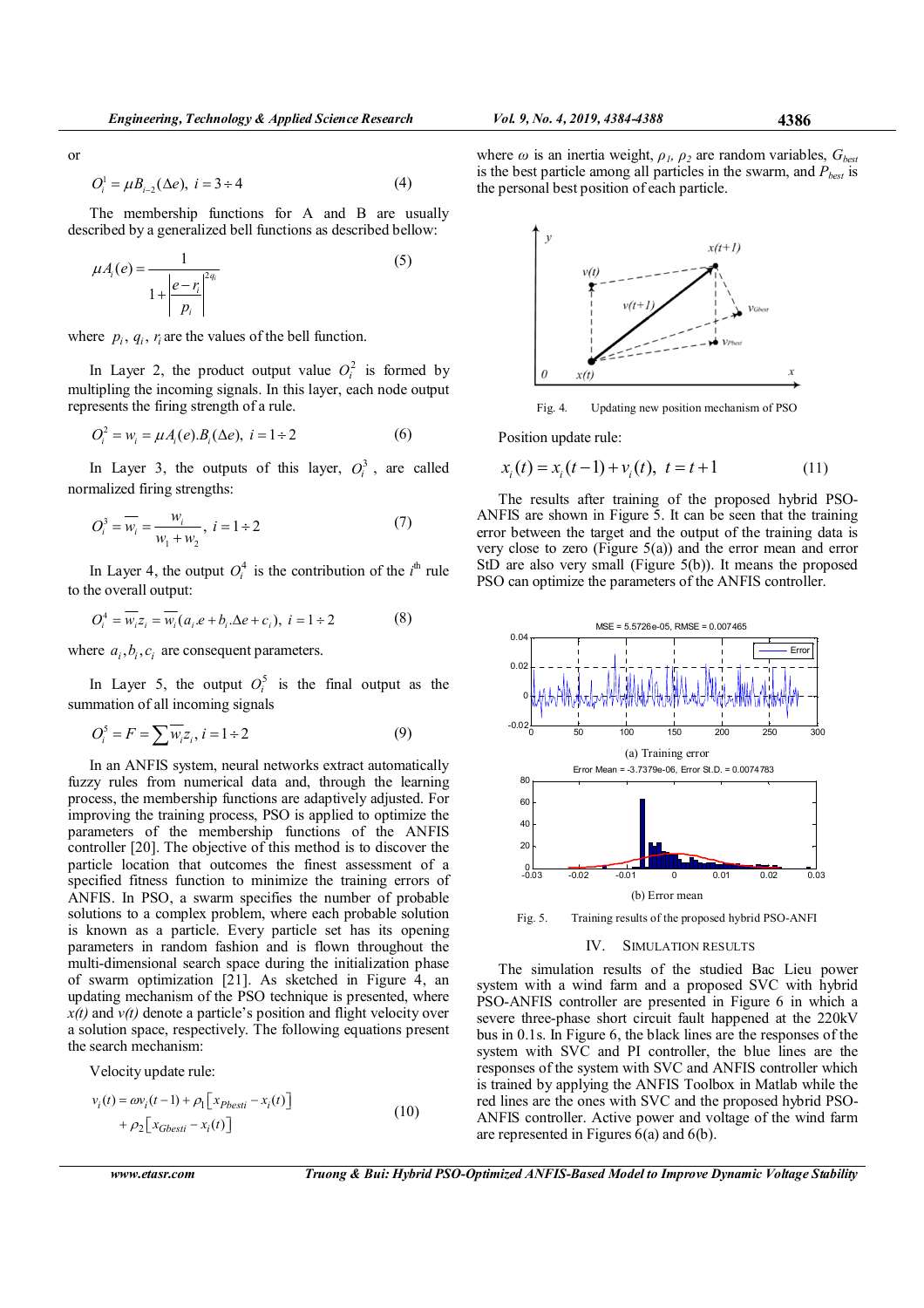or

$$
O_i^1 = \mu B_{i-2}(\Delta e), \ i = 3 \div 4 \tag{4}
$$

The membership functions for A and B are usually described by a generalized bell functions as described bellow:

$$
\mu A_i(e) = \frac{1}{1 + \left|\frac{e - r_i}{p_i}\right|^{2q_i}}
$$
\n(5)

where  $p_i$ ,  $q_i$ ,  $r_i$  are the values of the bell function.

In Layer 2, the product output value  $O_i^2$  is formed by multipling the incoming signals. In this layer, each node output represents the firing strength of a rule.

$$
O_i^2 = w_i = \mu A_i(e) . B_i(\Delta e), \ i = 1 \div 2 \tag{6}
$$

In Layer 3, the outputs of this layer,  $O_i^3$ , are called normalized firing strengths:

$$
O_i^3 = \overline{w_i} = \frac{w_i}{w_1 + w_2}, \ i = 1 \div 2
$$
 (7)

In Layer 4, the output  $O_i^4$  is the contribution of the  $i^{\text{th}}$  rule to the overall output:

$$
O_i^4 = \overline{w_i} z_i = \overline{w_i} (a_i.e + b_i \Delta e + c_i), \ i = 1 \div 2
$$
 (8)

where  $a_i, b_i, c_i$  are consequent parameters.

In Layer 5, the output  $O_i^5$  is the final output as the summation of all incoming signals

$$
O_i^5 = F = \sum \overline{w_i} z_i, \, i = 1 \div 2 \tag{9}
$$

In an ANFIS system, neural networks extract automatically fuzzy rules from numerical data and, through the learning process, the membership functions are adaptively adjusted. For improving the training process, PSO is applied to optimize the parameters of the membership functions of the ANFIS controller [20]. The objective of this method is to discover the particle location that outcomes the finest assessment of a specified fitness function to minimize the training errors of ANFIS. In PSO, a swarm specifies the number of probable solutions to a complex problem, where each probable solution is known as a particle. Every particle set has its opening parameters in random fashion and is flown throughout the multi-dimensional search space during the initialization phase of swarm optimization [21]. As sketched in Figure 4, an updating mechanism of the PSO technique is presented, where  $x(t)$  and  $v(t)$  denote a particle's position and flight velocity over a solution space, respectively. The following equations present the search mechanism:

Velocity update rule:

$$
v_i(t) = \omega v_i(t-1) + \rho_1 \left[ x_{Pbesti} - x_i(t) \right] + \rho_2 \left[ x_{Gbesti} - x_i(t) \right]
$$
(10)

where  $\omega$  is an inertia weight,  $\rho_l$ ,  $\rho_2$  are random variables,  $G_{best}$ is the best particle among all particles in the swarm, and  $P_{best}$  is the personal best position of each particle.



Fig. 4. Updating new position mechanism of PSO

Position update rule:

$$
x_i(t) = x_i(t-1) + v_i(t), \ t = t+1
$$
 (11)

The results after training of the proposed hybrid PSO-ANFIS are shown in Figure 5. It can be seen that the training error between the target and the output of the training data is very close to zero (Figure 5(a)) and the error mean and error StD are also very small (Figure 5(b)). It means the proposed PSO can optimize the parameters of the ANFIS controller.



Fig. 5. Training results of the proposed hybrid PSO-ANFI

## IV. SIMULATION RESULTS

The simulation results of the studied Bac Lieu power system with a wind farm and a proposed SVC with hybrid PSO-ANFIS controller are presented in Figure 6 in which a severe three-phase short circuit fault happened at the 220kV bus in 0.1s. In Figure 6, the black lines are the responses of the system with SVC and PI controller, the blue lines are the responses of the system with SVC and ANFIS controller which is trained by applying the ANFIS Toolbox in Matlab while the red lines are the ones with SVC and the proposed hybrid PSO-ANFIS controller. Active power and voltage of the wind farm are represented in Figures  $6(a)$  and  $6(b)$ .

www.etasr.com Truong & Bui: Hybrid PSO-Optimized ANFIS-Based Model to Improve Dynamic Voltage Stability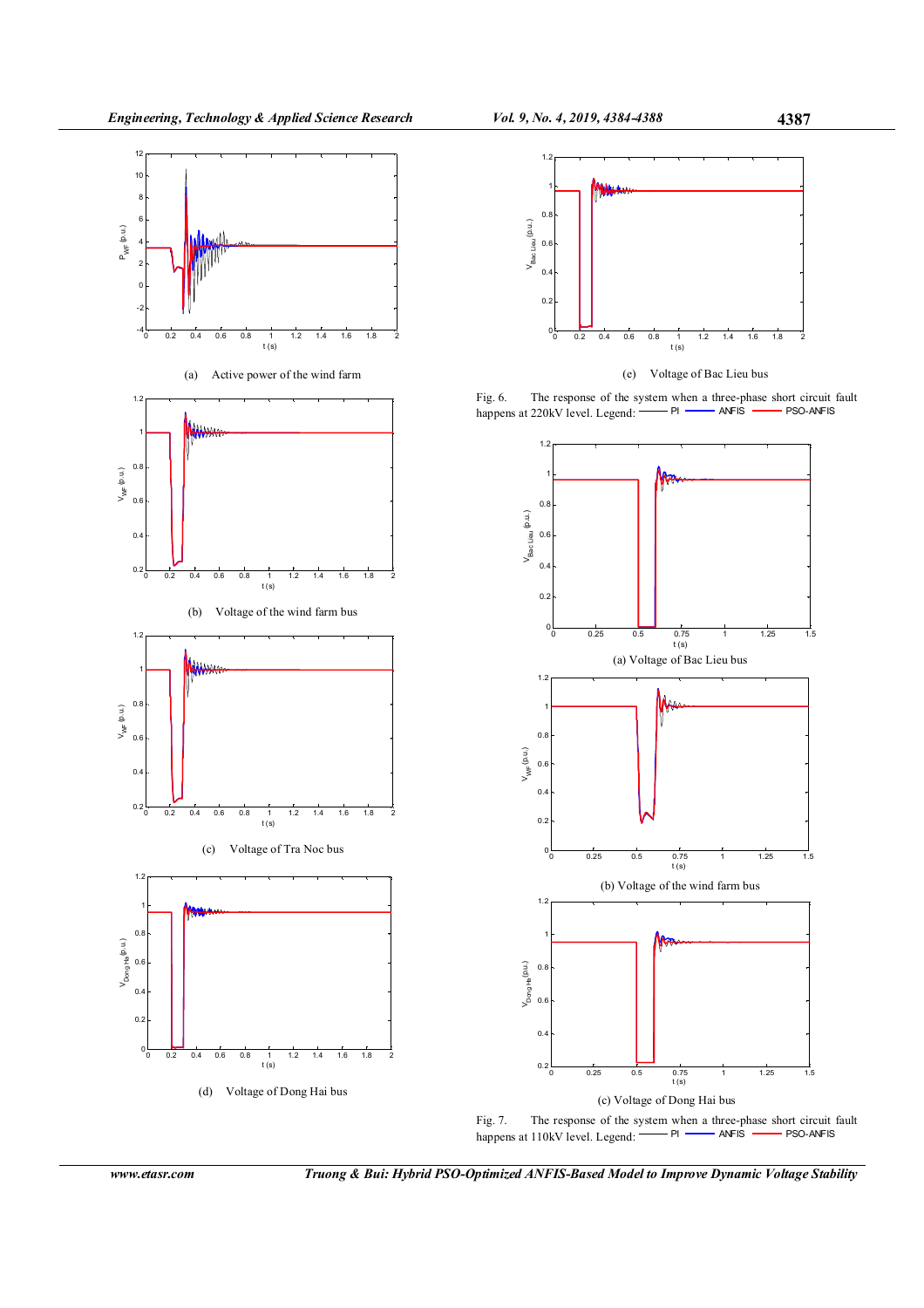



(b) Voltage of the wind farm bus





(d) Voltage of Dong Hai bus



(e) Voltage of Bac Lieu bus

Fig. 6. The response of the system when a three-phase short circuit fault hannens at 220 kV level Levend:  $\overline{PI}$   $\overline{PI}$   $\overline{AN}$  FS  $\overline{IN}$  PSO-ANFIS happens at 220kV level. Legend:  $-$  PI  $-$  ANFIS  $-$  PSO-ANFIS





www.etasr.com Truong & Bui: Hybrid PSO-Optimized ANFIS-Based Model to Improve Dynamic Voltage Stability